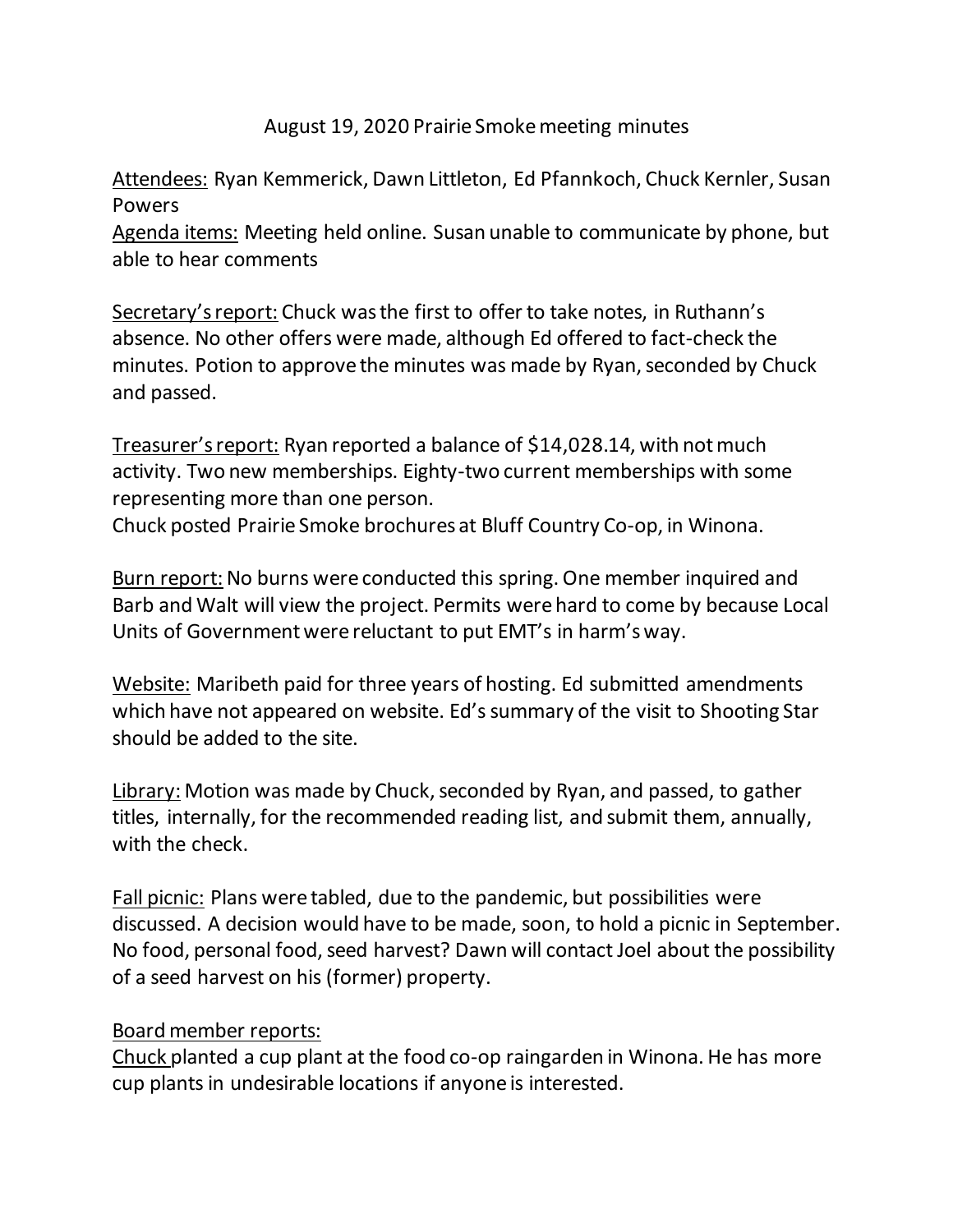## August 19, 2020 Prairie Smoke meeting minutes

Attendees: Ryan Kemmerick, Dawn Littleton, Ed Pfannkoch, Chuck Kernler, Susan Powers Agenda items: Meeting held online. Susan unable to communicate by phone, but able to hear comments

Secretary's report: Chuck was the first to offer to take notes, in Ruthann's absence. No other offers were made, although Ed offered to fact-check the minutes. Potion to approve the minutes was made by Ryan, seconded by Chuck and passed.

Treasurer's report: Ryan reported a balance of \$14,028.14, with not much activity. Two new memberships. Eighty-two current memberships with some representing more than one person.

Chuck posted Prairie Smoke brochures at Bluff Country Co-op, in Winona.

Burn report: No burns were conducted this spring. One member inquired and Barb and Walt will view the project. Permits were hard to come by because Local Units of Government were reluctant to put EMT's in harm's way.

Website: Maribeth paid for three years of hosting. Ed submitted amendments which have not appeared on website. Ed's summary of the visit to Shooting Star should be added to the site.

Library: Motion was made by Chuck, seconded by Ryan, and passed, to gather titles, internally, for the recommended reading list, and submit them, annually, with the check.

Fall picnic: Plans were tabled, due to the pandemic, but possibilities were discussed. A decision would have to be made, soon, to hold a picnic in September. No food, personal food, seed harvest? Dawn will contact Joel about the possibility of a seed harvest on his (former) property.

## Board member reports:

Chuck planted a cup plant at the food co-op raingarden in Winona. He has more cup plants in undesirable locations if anyone is interested.